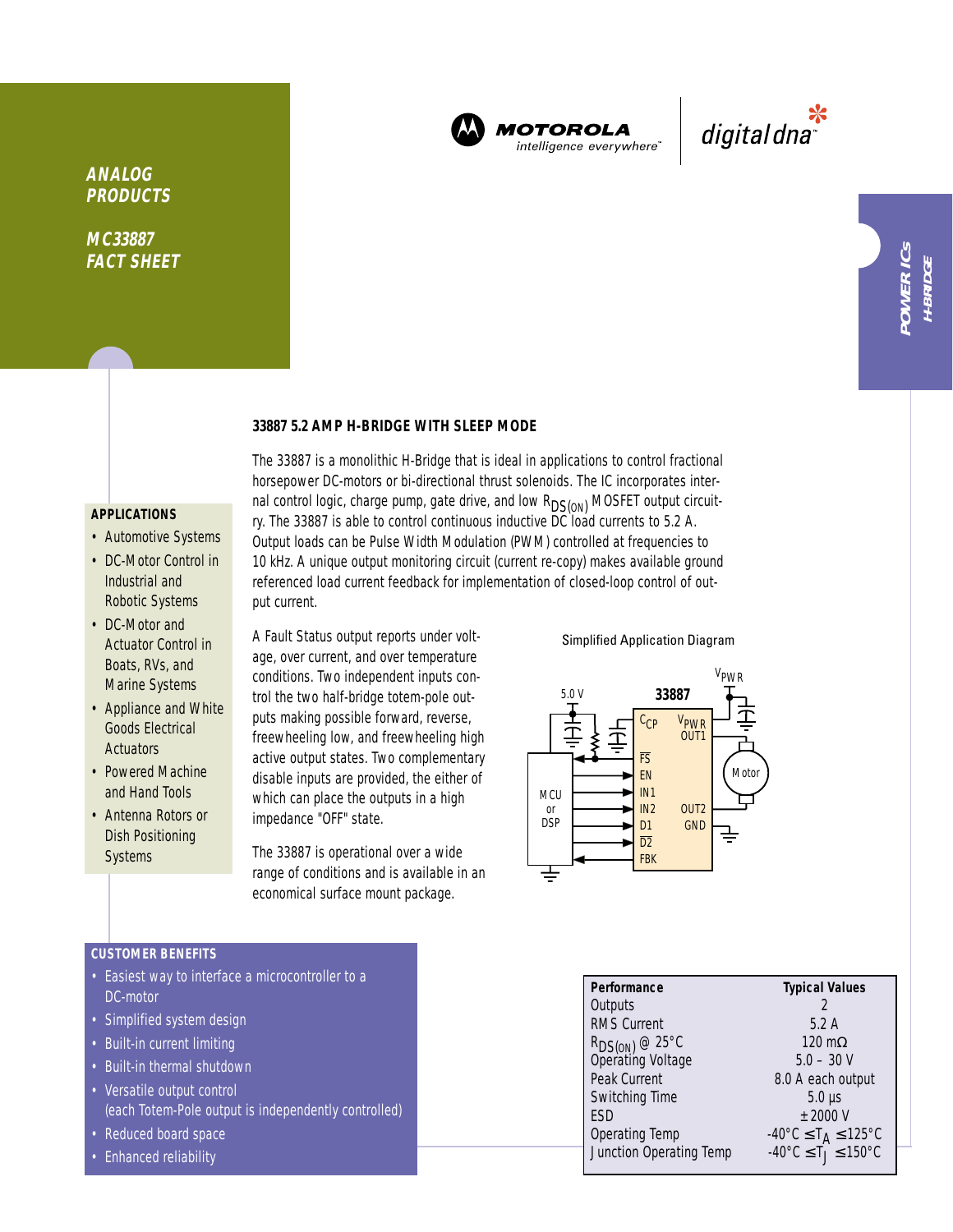

MOTOROLA intelligence everywhere

\*<br>"digital dna

**H-BRIDGE**

# **ANALOG PRODUCTS**

**MC33887 FACT SHEET**

## **33887 5.2 AMP H-BRIDGE WITH SLEEP MODE**

#### **APPLICATIONS**

- Automotive Systems
- DC-Motor Control in Industrial and Robotic Systems
- DC-Motor and Actuator Control in Boats, RVs, and Marine Systems
- Appliance and White Goods Electrical **Actuators**
- Powered Machine and Hand Tools
- Antenna Rotors or Dish Positioning **Systems**

The 33887 is a monolithic H-Bridge that is ideal in applications to control fractional horsepower DC-motors or bi-directional thrust solenoids. The IC incorporates internal control logic, charge pump, gate drive, and low  $R_{DS(ON)}$  MOSFET output circuitry. The 33887 is able to control continuous inductive DC load currents to 5.2 A. Output loads can be Pulse Width Modulation (PWM) controlled at frequencies to 10 kHz. A unique output monitoring circuit (current re-copy) makes available ground referenced load current feedback for implementation of closed-loop control of output current.

A Fault Status output reports under voltage, over current, and over temperature conditions. Two independent inputs control the two half-bridge totem-pole outputs making possible forward, reverse, freewheeling low, and freewheeling high active output states. Two complementary disable inputs are provided, the either of which can place the outputs in a high impedance "OFF" state.

The 33887 is operational over a wide range of conditions and is available in an economical surface mount package.

Simplified Application Diagram



### **CUSTOMER BENEFITS**

- Easiest way to interface a microcontroller to a DC-motor
- Simplified system design
- Built-in current limiting
- Built-in thermal shutdown
- Versatile output control (each Totem-Pole output is independently controlled)
- Reduced board space
- Enhanced reliability

| Performance                              | <b>Typical Values</b>                              |
|------------------------------------------|----------------------------------------------------|
| Outputs                                  |                                                    |
| <b>RMS Current</b>                       | 5.2A                                               |
|                                          | $120 \text{ m}\Omega$                              |
| $R_{DS(ON)}$ @ 25°C<br>Operating Voltage | $5.0 - 30 V$                                       |
| Peak Current                             | 8.0 A each output                                  |
| Switching Time                           | $5.0 \,\mu s$                                      |
| <b>FSD</b>                               | $±$ 2000 V                                         |
| <b>Operating Temp</b>                    | $-40^{\circ}$ C $\leq$ T <sub>A</sub> $\leq$ 125°C |
| Junction Operating Temp                  | $-40^{\circ}$ C $\leq T_1 \leq 150^{\circ}$ C      |